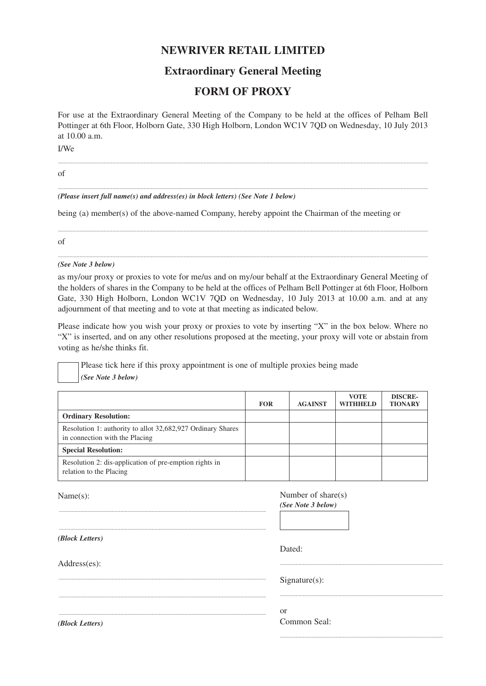# **NEWRIVER RETAIL LIMITED**

# **Extraordinary General Meeting**

# **FORM OF PROXY**

For use at the Extraordinary General Meeting of the Company to be held at the offices of Pelham Bell Pottinger at 6th Floor, Holborn Gate, 330 High Holborn, London WC1V 7QD on Wednesday, 10 July 2013 at 10.00 a.m.

...................................................................................................................................................................................................................................................................

...................................................................................................................................................................................................................................................................

..................................................................................................................

I/We

of

*(Please insert full name(s) and address(es) in block letters) (See Note 1 below)*

being (a) member(s) of the above-named Company, hereby appoint the Chairman of the meeting or

of

### *(See Note 3 below)*

as my/our proxy or proxies to vote for me/us and on my/our behalf at the Extraordinary General Meeting of the holders of shares in the Company to be held at the offices of Pelham Bell Pottinger at 6th Floor, Holborn Gate, 330 High Holborn, London WC1V 7QD on Wednesday, 10 July 2013 at 10.00 a.m. and at any adjournment of that meeting and to vote at that meeting as indicated below.

...................................................................................................................................................................................................................................................................

...................................................................................................................................................................................................................................................................

Please indicate how you wish your proxy or proxies to vote by inserting "X" in the box below. Where no "X" is inserted, and on any other resolutions proposed at the meeting, your proxy will vote or abstain from voting as he/she thinks fit.

Please tick here if this proxy appointment is one of multiple proxies being made *(See Note 3 below)*

|                                                                                               | <b>FOR</b> | <b>AGAINST</b> | <b>VOTE</b><br><b>WITHHELD</b> | <b>DISCRE-</b><br><b>TIONARY</b> |
|-----------------------------------------------------------------------------------------------|------------|----------------|--------------------------------|----------------------------------|
| <b>Ordinary Resolution:</b>                                                                   |            |                |                                |                                  |
| Resolution 1: authority to allot 32,682,927 Ordinary Shares<br>in connection with the Placing |            |                |                                |                                  |
| <b>Special Resolution:</b>                                                                    |            |                |                                |                                  |
| Resolution 2: dis-application of pre-emption rights in<br>relation to the Placing             |            |                |                                |                                  |

Name(s): ................................................................................................................................................. ................................................................................................................................................. *(Block Letters)* Address(es): ................................................................................................................................................. ................................................................................................................................................. ................................................................................................................................................. Number of share(s) *(See Note 3 below)* Dated: .................................................................................................................. Signature(s): .................................................................................................................. or Common Seal:

*(Block Letters)*